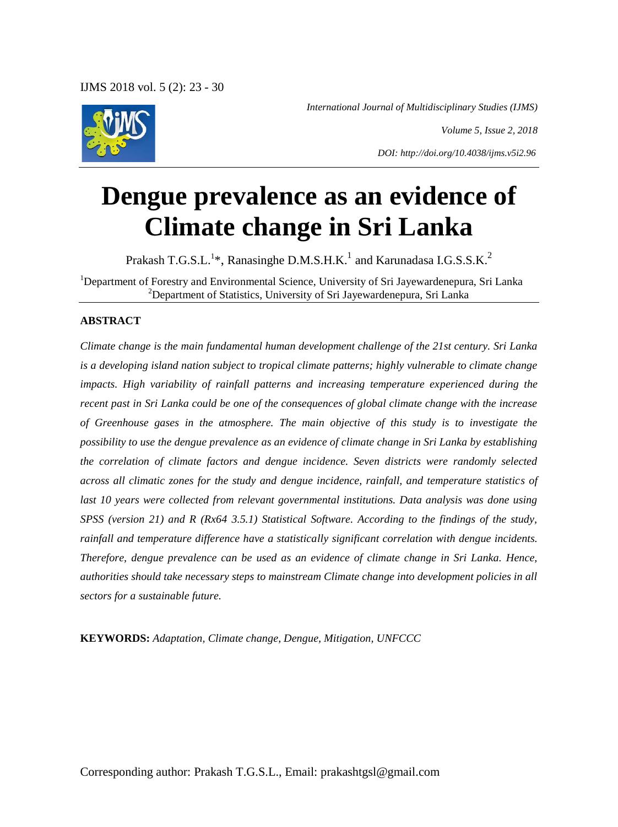*International Journal of Multidisciplinary Studies (IJMS)*



*Volume 5, Issue 2, 2018*

*DOI: http://doi.org/10.4038/ijms.v5i2.96*

# **Dengue prevalence as an evidence of Climate change in Sri Lanka**

Prakash T.G.S.L.<sup>1</sup>\*, Ranasinghe D.M.S.H.K.<sup>1</sup> and Karunadasa I.G.S.S.K.<sup>2</sup>

<sup>1</sup>Department of Forestry and Environmental Science, University of Sri Jayewardenepura, Sri Lanka <sup>2</sup>Department of Statistics, University of Sri Jayewardenepura, Sri Lanka

#### **ABSTRACT**

*Climate change is the main fundamental human development challenge of the 21st century. Sri Lanka is a developing island nation subject to tropical climate patterns; highly vulnerable to climate change impacts. High variability of rainfall patterns and increasing temperature experienced during the recent past in Sri Lanka could be one of the consequences of global climate change with the increase of Greenhouse gases in the atmosphere. The main objective of this study is to investigate the possibility to use the dengue prevalence as an evidence of climate change in Sri Lanka by establishing the correlation of climate factors and dengue incidence. Seven districts were randomly selected across all climatic zones for the study and dengue incidence, rainfall, and temperature statistics of*  last 10 years were collected from relevant governmental institutions. Data analysis was done using *SPSS (version 21) and R (Rx64 3.5.1) Statistical Software. According to the findings of the study, rainfall and temperature difference have a statistically significant correlation with dengue incidents. Therefore, dengue prevalence can be used as an evidence of climate change in Sri Lanka. Hence, authorities should take necessary steps to mainstream Climate change into development policies in all sectors for a sustainable future.*

**KEYWORDS:** *Adaptation, Climate change, Dengue, Mitigation, UNFCCC*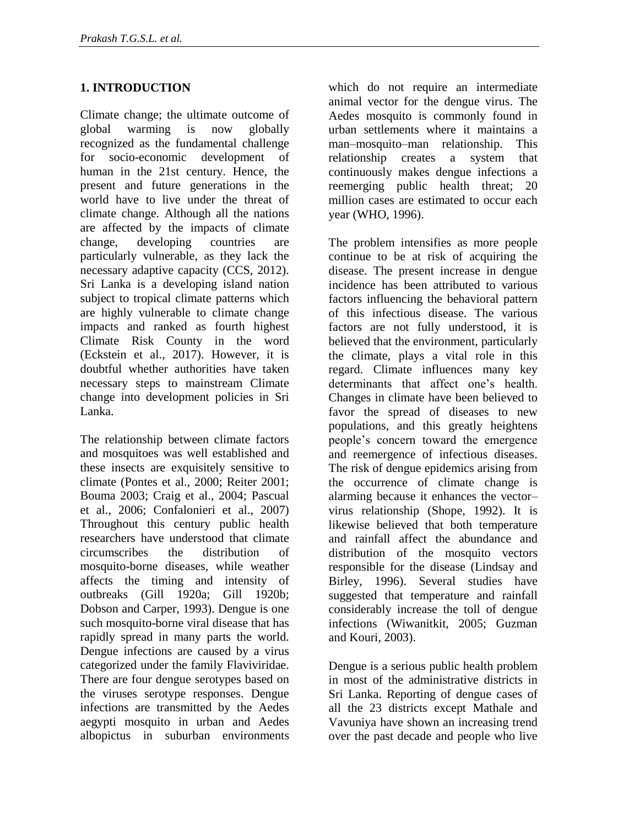## **1. INTRODUCTION**

Climate change; the ultimate outcome of global warming is now globally recognized as the fundamental challenge for socio-economic development of human in the 21st century. Hence, the present and future generations in the world have to live under the threat of climate change. Although all the nations are affected by the impacts of climate change, developing countries are particularly vulnerable, as they lack the necessary adaptive capacity (CCS, 2012). Sri Lanka is a developing island nation subject to tropical climate patterns which are highly vulnerable to climate change impacts and ranked as fourth highest Climate Risk County in the word (Eckstein et al., 2017). However, it is doubtful whether authorities have taken necessary steps to mainstream Climate change into development policies in Sri Lanka.

The relationship between climate factors and mosquitoes was well established and these insects are exquisitely sensitive to climate (Pontes et al., 2000; Reiter 2001; Bouma 2003; Craig et al., 2004; Pascual et al., 2006; Confalonieri et al., 2007) Throughout this century public health researchers have understood that climate circumscribes the distribution of mosquito-borne diseases, while weather affects the timing and intensity of outbreaks (Gill 1920a; Gill 1920b; Dobson and Carper, 1993). Dengue is one such mosquito-borne viral disease that has rapidly spread in many parts the world. Dengue infections are caused by a virus categorized under the family Flaviviridae. There are four dengue serotypes based on the viruses serotype responses. Dengue infections are transmitted by the Aedes aegypti mosquito in urban and Aedes albopictus in suburban environments

which do not require an intermediate animal vector for the dengue virus. The Aedes mosquito is commonly found in urban settlements where it maintains a man–mosquito–man relationship. This relationship creates a system that continuously makes dengue infections a reemerging public health threat; 20 million cases are estimated to occur each year (WHO, 1996).

The problem intensifies as more people continue to be at risk of acquiring the disease. The present increase in dengue incidence has been attributed to various factors influencing the behavioral pattern of this infectious disease. The various factors are not fully understood, it is believed that the environment, particularly the climate, plays a vital role in this regard. Climate influences many key determinants that affect one's health. Changes in climate have been believed to favor the spread of diseases to new populations, and this greatly heightens people's concern toward the emergence and reemergence of infectious diseases. The risk of dengue epidemics arising from the occurrence of climate change is alarming because it enhances the vector– virus relationship (Shope, 1992). It is likewise believed that both temperature and rainfall affect the abundance and distribution of the mosquito vectors responsible for the disease (Lindsay and Birley, 1996). Several studies have suggested that temperature and rainfall considerably increase the toll of dengue infections (Wiwanitkit, 2005; Guzman and Kouri, 2003).

Dengue is a serious public health problem in most of the administrative districts in Sri Lanka. Reporting of dengue cases of all the 23 districts except Mathale and Vavuniya have shown an increasing trend over the past decade and people who live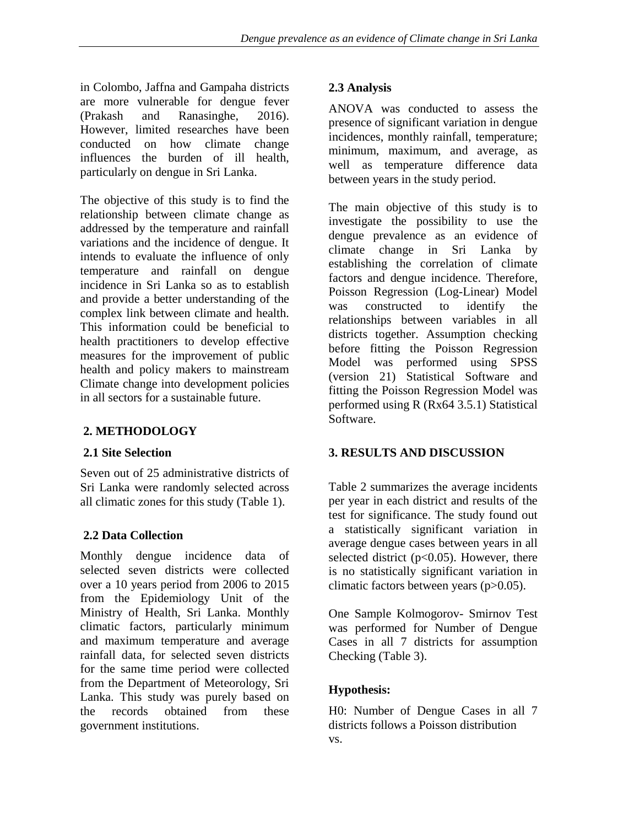in Colombo, Jaffna and Gampaha districts are more vulnerable for dengue fever (Prakash and Ranasinghe, 2016). However, limited researches have been conducted on how climate change influences the burden of ill health, particularly on dengue in Sri Lanka.

The objective of this study is to find the relationship between climate change as addressed by the temperature and rainfall variations and the incidence of dengue. It intends to evaluate the influence of only temperature and rainfall on dengue incidence in Sri Lanka so as to establish and provide a better understanding of the complex link between climate and health. This information could be beneficial to health practitioners to develop effective measures for the improvement of public health and policy makers to mainstream Climate change into development policies in all sectors for a sustainable future.

### **2. METHODOLOGY**

#### **2.1 Site Selection**

Seven out of 25 administrative districts of Sri Lanka were randomly selected across all climatic zones for this study (Table 1).

#### **2.2 Data Collection**

Monthly dengue incidence data of selected seven districts were collected over a 10 years period from 2006 to 2015 from the Epidemiology Unit of the Ministry of Health, Sri Lanka. Monthly climatic factors, particularly minimum and maximum temperature and average rainfall data, for selected seven districts for the same time period were collected from the Department of Meteorology, Sri Lanka. This study was purely based on the records obtained from these government institutions.

#### **2.3 Analysis**

ANOVA was conducted to assess the presence of significant variation in dengue incidences, monthly rainfall, temperature; minimum, maximum, and average, as well as temperature difference data between years in the study period.

The main objective of this study is to investigate the possibility to use the dengue prevalence as an evidence of climate change in Sri Lanka by establishing the correlation of climate factors and dengue incidence. Therefore, Poisson Regression (Log-Linear) Model was constructed to identify the relationships between variables in all districts together. Assumption checking before fitting the Poisson Regression Model was performed using SPSS (version 21) Statistical Software and fitting the Poisson Regression Model was performed using R (Rx64 3.5.1) Statistical Software.

#### **3. RESULTS AND DISCUSSION**

Table 2 summarizes the average incidents per year in each district and results of the test for significance. The study found out a statistically significant variation in average dengue cases between years in all selected district ( $p<0.05$ ). However, there is no statistically significant variation in climatic factors between years (p>0.05).

One Sample Kolmogorov- Smirnov Test was performed for Number of Dengue Cases in all 7 districts for assumption Checking (Table 3).

#### **Hypothesis:**

H0: Number of Dengue Cases in all 7 districts follows a Poisson distribution vs.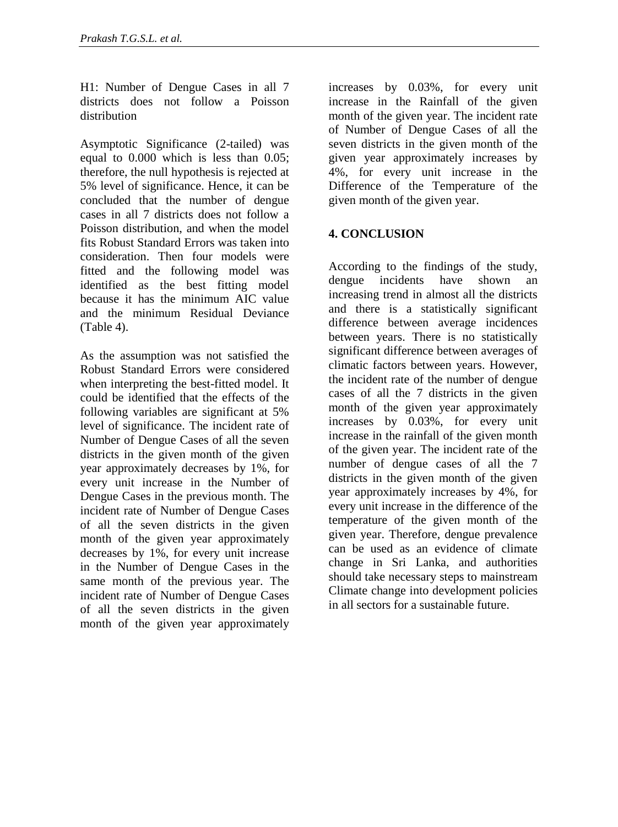H1: Number of Dengue Cases in all 7 districts does not follow a Poisson distribution

Asymptotic Significance (2-tailed) was equal to 0.000 which is less than 0.05; therefore, the null hypothesis is rejected at 5% level of significance. Hence, it can be concluded that the number of dengue cases in all 7 districts does not follow a Poisson distribution, and when the model fits Robust Standard Errors was taken into consideration. Then four models were fitted and the following model was identified as the best fitting model because it has the minimum AIC value and the minimum Residual Deviance (Table 4).

As the assumption was not satisfied the Robust Standard Errors were considered when interpreting the best-fitted model. It could be identified that the effects of the following variables are significant at 5% level of significance. The incident rate of Number of Dengue Cases of all the seven districts in the given month of the given year approximately decreases by 1%, for every unit increase in the Number of Dengue Cases in the previous month. The incident rate of Number of Dengue Cases of all the seven districts in the given month of the given year approximately decreases by 1%, for every unit increase in the Number of Dengue Cases in the same month of the previous year. The incident rate of Number of Dengue Cases of all the seven districts in the given month of the given year approximately

increases by 0.03%, for every unit increase in the Rainfall of the given month of the given year. The incident rate of Number of Dengue Cases of all the seven districts in the given month of the given year approximately increases by 4%, for every unit increase in the Difference of the Temperature of the given month of the given year.

#### **4. CONCLUSION**

According to the findings of the study, dengue incidents have shown an increasing trend in almost all the districts and there is a statistically significant difference between average incidences between years. There is no statistically significant difference between averages of climatic factors between years. However, the incident rate of the number of dengue cases of all the 7 districts in the given month of the given year approximately increases by 0.03%, for every unit increase in the rainfall of the given month of the given year. The incident rate of the number of dengue cases of all the 7 districts in the given month of the given year approximately increases by 4%, for every unit increase in the difference of the temperature of the given month of the given year. Therefore, dengue prevalence can be used as an evidence of climate change in Sri Lanka, and authorities should take necessary steps to mainstream Climate change into development policies in all sectors for a sustainable future.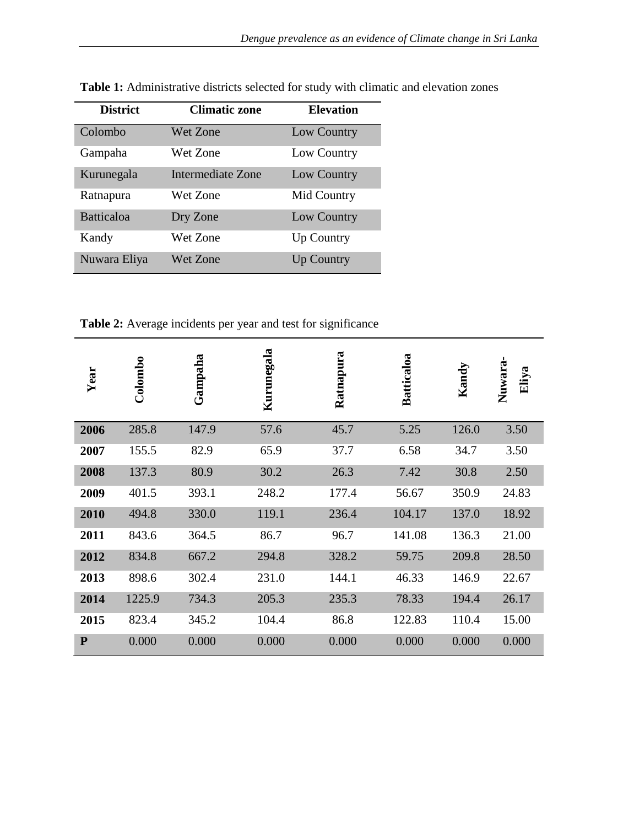| <b>District</b>   | <b>Climatic zone</b> | <b>Elevation</b>  |
|-------------------|----------------------|-------------------|
| Colombo           | Wet Zone             | Low Country       |
| Gampaha           | Wet Zone             | Low Country       |
| Kurunegala        | Intermediate Zone    | Low Country       |
| Ratnapura         | Wet Zone             | Mid Country       |
| <b>Batticaloa</b> | Dry Zone             | Low Country       |
| Kandy             | Wet Zone             | <b>Up Country</b> |
| Nuwara Eliya      | Wet Zone             | <b>Up Country</b> |

**Table 1:** Administrative districts selected for study with climatic and elevation zones

**Table 2:** Average incidents per year and test for significance

| Year      | Colombo | Gampaha | Kurunegala | Ratnapura | Batticaloa | Kandy | ٠<br>Nuwara<br>Eliya |
|-----------|---------|---------|------------|-----------|------------|-------|----------------------|
| 2006      | 285.8   | 147.9   | 57.6       | 45.7      | 5.25       | 126.0 | 3.50                 |
| 2007      | 155.5   | 82.9    | 65.9       | 37.7      | 6.58       | 34.7  | 3.50                 |
| 2008      | 137.3   | 80.9    | 30.2       | 26.3      | 7.42       | 30.8  | 2.50                 |
| 2009      | 401.5   | 393.1   | 248.2      | 177.4     | 56.67      | 350.9 | 24.83                |
| 2010      | 494.8   | 330.0   | 119.1      | 236.4     | 104.17     | 137.0 | 18.92                |
| 2011      | 843.6   | 364.5   | 86.7       | 96.7      | 141.08     | 136.3 | 21.00                |
| 2012      | 834.8   | 667.2   | 294.8      | 328.2     | 59.75      | 209.8 | 28.50                |
| 2013      | 898.6   | 302.4   | 231.0      | 144.1     | 46.33      | 146.9 | 22.67                |
| 2014      | 1225.9  | 734.3   | 205.3      | 235.3     | 78.33      | 194.4 | 26.17                |
| 2015      | 823.4   | 345.2   | 104.4      | 86.8      | 122.83     | 110.4 | 15.00                |
| ${\bf P}$ | 0.000   | 0.000   | 0.000      | 0.000     | 0.000      | 0.000 | 0.000                |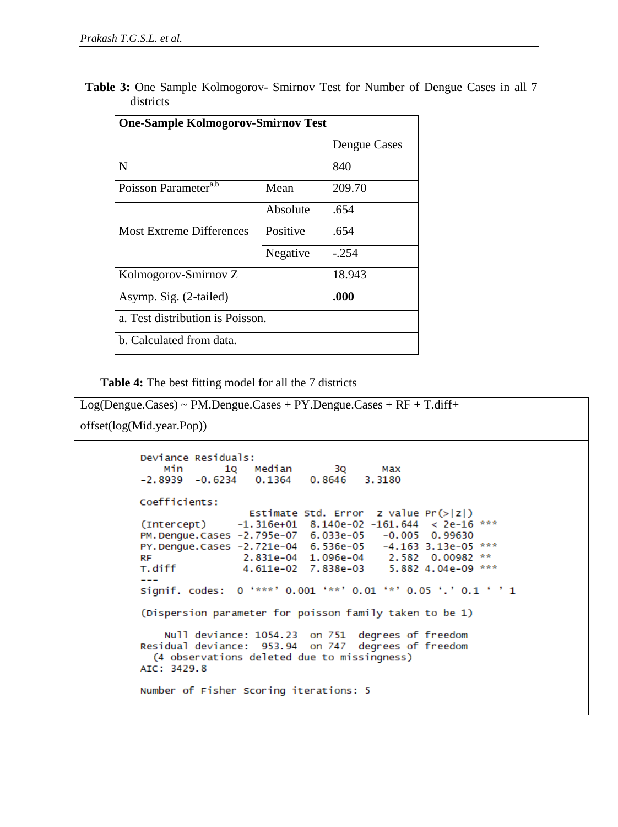**Table 3:** One Sample Kolmogorov- Smirnov Test for Number of Dengue Cases in all 7 districts

| <b>One-Sample Kolmogorov-Smirnov Test</b> |          |              |  |  |
|-------------------------------------------|----------|--------------|--|--|
|                                           |          | Dengue Cases |  |  |
| N                                         |          | 840          |  |  |
| Poisson Parameter <sup>a,b</sup>          | Mean     | 209.70       |  |  |
|                                           | Absolute | .654         |  |  |
| <b>Most Extreme Differences</b>           | Positive | .654         |  |  |
|                                           | Negative | $-.254$      |  |  |
| Kolmogorov-Smirnov Z                      | 18.943   |              |  |  |
| Asymp. Sig. (2-tailed)                    | .000     |              |  |  |
| a. Test distribution is Poisson.          |          |              |  |  |
| b. Calculated from data.                  |          |              |  |  |

**Table 4:** The best fitting model for all the 7 districts

```
Log(Dengue.Cases) ~ PM.Dengue.Cases + PY.Dengue.Cases + RF + T.diff+
offset(log(Mid.year.Pop))Deviance Residuals:
                      1Q Median 3Q
             Min
                                                Max
                           0.1364-2.8939 - 0.62340.8646
                                              3.3180
         Coefficients:
                           Estimate Std. Error z value Pr(>|z|)(Intercept)
                        -1.316e+01 8.140e-02 -161.644 < 2e-16 ***
         PM. Dengue. Cases -2.795e-07
                                     6.033e-05 -0.0050.99630
         PY. Dengue. Cases -2.721e-04
                                     6.536e-05
                                                -4.163 3.13e-05 ***
                                                2.582 0.00982 **
         RF
                          2.831e-04 1.096e-04
         T.diff
                         4.611e-02 7.838e-03
                                                5.882 4.04e-09 ***
         Signif. codes: 0 '***' 0.001 '**' 0.01 '*' 0.05 '.' 0.1 ' ' 1
         (Dispersion parameter for poisson family taken to be 1)
             Null deviance: 1054.23 on 751 degrees of freedom
         Residual deviance: 953.94 on 747 degrees of freedom
           (4 observations deleted due to missingness)
         AIC: 3429.8
         Number of Fisher Scoring iterations: 5
```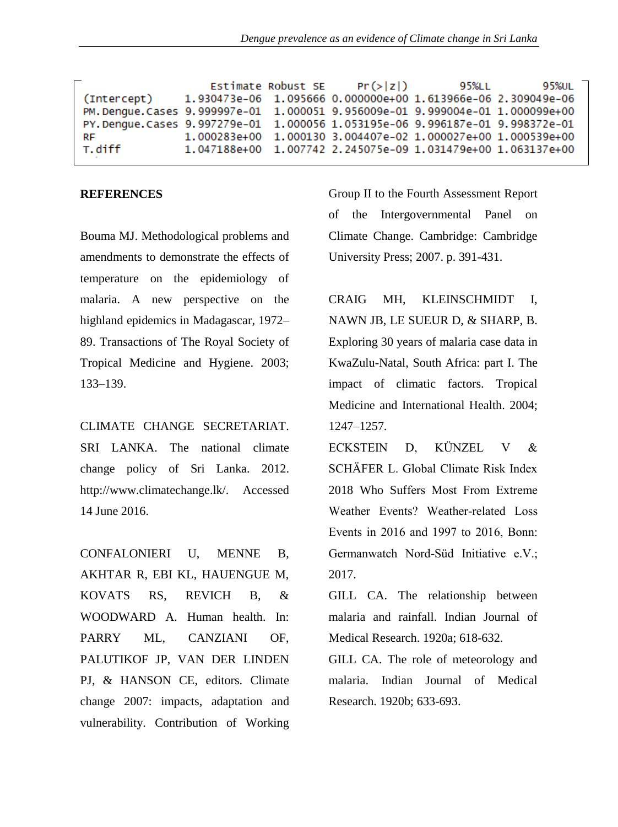|                                                                                | Estimate Robust SE | Pr(> z ) | 95%LL | 95%UL                                                            |
|--------------------------------------------------------------------------------|--------------------|----------|-------|------------------------------------------------------------------|
| (Intercept)                                                                    |                    |          |       | 1.930473e-06 1.095666 0.000000e+00 1.613966e-06 2.309049e-06     |
| PM. Denque. Cases 9.999997e-01 1.000051 9.956009e-01 9.999004e-01 1.000099e+00 |                    |          |       |                                                                  |
| PY.Dengue.Cases 9.997279e-01 1.000056 1.053195e-06 9.996187e-01 9.998372e-01   |                    |          |       |                                                                  |
| RF                                                                             |                    |          |       | 1.000283e+00  1.000130  3.004407e-02  1.000027e+00  1.000539e+00 |
| T. diff                                                                        |                    |          |       | 1.047188e+00  1.007742  2.245075e-09  1.031479e+00  1.063137e+00 |

#### **REFERENCES**

Bouma MJ. Methodological problems and amendments to demonstrate the effects of temperature on the epidemiology of malaria. A new perspective on the highland epidemics in Madagascar, 1972– 89. Transactions of The Royal Society of Tropical Medicine and Hygiene. 2003; 133–139.

CLIMATE CHANGE SECRETARIAT. SRI LANKA. The national climate change policy of Sri Lanka. 2012. http://www.climatechange.lk/. Accessed 14 June 2016.

CONFALONIERI U, MENNE B, AKHTAR R, EBI KL, HAUENGUE M, KOVATS RS, REVICH B, & WOODWARD A. Human health. In: PARRY ML, CANZIANI OF, PALUTIKOF JP, VAN DER LINDEN PJ, & HANSON CE, editors. Climate change 2007: impacts, adaptation and vulnerability. Contribution of Working

Group II to the Fourth Assessment Report of the Intergovernmental Panel on Climate Change. Cambridge: Cambridge University Press; 2007. p. 391-431.

CRAIG MH, KLEINSCHMIDT I, NAWN JB, LE SUEUR D, & SHARP, B. Exploring 30 years of malaria case data in KwaZulu-Natal, South Africa: part I. The impact of climatic factors. Tropical Medicine and International Health. 2004; 1247–1257.

**ECKSTEIN** D. KÜNZEL.  $\mathbf{V}$  $\&$ SCHÄFER L. Global Climate Risk Index 2018 Who Suffers Most From Extreme Weather Events? Weather-related Loss Events in  $2016$  and  $1997$  to  $2016$ , Bonn: Germanwatch Nord-Süd Initiative e.V.; 2017.

GILL CA. The relationship between malaria and rainfall. Indian Journal of Medical Research. 1920a; 618-632.

GILL CA. The role of meteorology and malaria. Indian Journal of Medical Research. 1920b; 633-693.